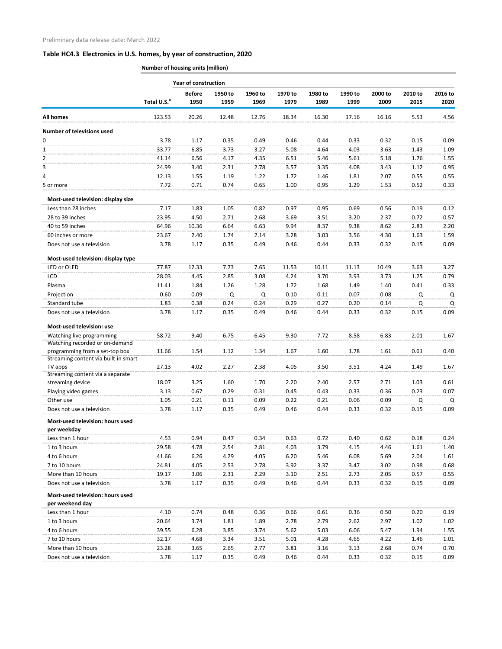|                                                      |                         | <b>Year of construction</b> |                 |                 |                 |                 |                 |                 |                 |                 |
|------------------------------------------------------|-------------------------|-----------------------------|-----------------|-----------------|-----------------|-----------------|-----------------|-----------------|-----------------|-----------------|
|                                                      | Total U.S. <sup>a</sup> | <b>Before</b><br>1950       | 1950 to<br>1959 | 1960 to<br>1969 | 1970 to<br>1979 | 1980 to<br>1989 | 1990 to<br>1999 | 2000 to<br>2009 | 2010 to<br>2015 | 2016 to<br>2020 |
| <b>All homes</b>                                     | 123.53                  | 20.26                       | 12.48           | 12.76           | 18.34           | 16.30           | 17.16           | 16.16           | 5.53            | 4.56            |
| <b>Number of televisions used</b>                    |                         |                             |                 |                 |                 |                 |                 |                 |                 |                 |
| 0                                                    | 3.78                    | 1.17                        | 0.35            | 0.49            | 0.46            | 0.44            | 0.33            | 0.32            | 0.15            | 0.09            |
| 1                                                    | 33.77                   | 6.85                        | 3.73            | 3.27            | 5.08            | 4.64            | 4.03            | 3.63            | 1.43            | 1.09            |
| 2                                                    | 41.14                   | 6.56                        | 4.17            | 4.35            | 6.51            | 5.46            | 5.61            | 5.18            | 1.76            | 1.55            |
| 3                                                    | 24.99                   | 3.40                        | 2.31            | 2.78            | 3.57            | 3.35            | 4.08            | 3.43            | 1.12            | 0.95            |
| 4                                                    | 12.13                   | 1.55                        | 1.19            | 1.22            | 1.72            | 1.46            | 1.81            | 2.07            | 0.55            | 0.55            |
| 5 or more                                            | 7.72                    | 0.71                        | 0.74            | 0.65            | 1.00            | 0.95            | 1.29            | 1.53            | 0.52            | 0.33            |
| Most-used television: display size                   |                         |                             |                 |                 |                 |                 |                 |                 |                 |                 |
| Less than 28 inches                                  | 7.17                    | 1.83                        | 1.05            | 0.82            | 0.97            | 0.95            | 0.69            | 0.56            | 0.19            | 0.12            |
| 28 to 39 inches                                      | 23.95                   | 4.50                        | 2.71            | 2.68            | 3.69            | 3.51            | 3.20            | 2.37            | 0.72            | 0.57            |
| 40 to 59 inches                                      | 64.96                   | 10.36                       | 6.64            | 6.63            | 9.94            | 8.37            | 9.38            | 8.62            | 2.83            | 2.20            |
| 60 inches or more                                    | 23.67                   | 2.40                        | 1.74            | 2.14            | 3.28            | 3.03            | 3.56            | 4.30            | 1.63            | 1.59            |
| Does not use a television                            | 3.78                    | 1.17                        | 0.35            | 0.49            | 0.46            | 0.44            | 0.33            | 0.32            | 0.15            | 0.09            |
| Most-used television: display type                   |                         |                             |                 |                 |                 |                 |                 |                 |                 |                 |
| LED or OLED                                          | 77.87                   | 12.33                       | 7.73            | 7.65            | 11.53           | 10.11           | 11.13           | 10.49           | 3.63            | 3.27            |
| LCD                                                  | 28.03                   | 4.45                        | 2.85            | 3.08            | 4.24            | 3.70            | 3.93            | 3.73            | 1.25            | 0.79            |
| Plasma                                               | 11.41                   | 1.84                        | 1.26            | 1.28            | 1.72            | 1.68            | 1.49            | 1.40            | 0.41            | 0.33            |
| Projection                                           | 0.60                    | 0.09                        | Q               | Q               | 0.10            | 0.11            | 0.07            | 0.08            | Q               | Q               |
| Standard tube                                        | 1.83                    | 0.38                        | 0.24            | 0.24            | 0.29            | 0.27            | 0.20            | 0.14            | Q               | Q               |
| Does not use a television                            | 3.78                    | 1.17                        | 0.35            | 0.49            | 0.46            | 0.44            | 0.33            | 0.32            | 0.15            | 0.09            |
| Most-used television: use                            |                         |                             |                 |                 |                 |                 |                 |                 |                 |                 |
| Watching live programming                            | 58.72                   | 9.40                        | 6.75            | 6.45            | 9.30            | 7.72            | 8.58            | 6.83            | 2.01            | 1.67            |
| Watching recorded or on-demand                       |                         |                             |                 |                 |                 |                 |                 |                 |                 |                 |
| programming from a set-top box                       | 11.66                   | 1.54                        | 1.12            | 1.34            | 1.67            | 1.60            | 1.78            | 1.61            | 0.61            | 0.40            |
| Streaming content via built-in smart                 |                         |                             |                 |                 |                 |                 |                 |                 |                 |                 |
| TV apps                                              | 27.13                   | 4.02                        | 2.27            | 2.38            | 4.05            | 3.50            | 3.51            | 4.24            | 1.49            | 1.67            |
| Streaming content via a separate<br>streaming device | 18.07                   | 3.25                        | 1.60            | 1.70            | 2.20            | 2.40            | 2.57            | 2.71            | 1.03            | 0.61            |
| Playing video games                                  | 3.13                    | 0.67                        | 0.29            | 0.31            | 0.45            | 0.43            | 0.33            | 0.36            | 0.23            | 0.07            |
| Other use                                            | 1.05                    | 0.21                        | 0.11            | 0.09            | 0.22            | 0.21            | 0.06            | 0.09            | Q               | Q               |
| Does not use a television                            | 3.78                    | 1.17                        | 0.35            | 0.49            | 0.46            | 0.44            | 0.33            | 0.32            | 0.15            | 0.09            |
|                                                      |                         |                             |                 |                 |                 |                 |                 |                 |                 |                 |
| Most-used television: hours used<br>per weekday      |                         |                             |                 |                 |                 |                 |                 |                 |                 |                 |
| Less than 1 hour                                     | 4.53                    | 0.94                        | 0.47            | 0.34            | 0.63            | 0.72            | 0.40            | 0.62            | 0.18            | 0.24            |
| 1 to 3 hours                                         | 29.58                   | 4.78                        | 2.54            | 2.81            | 4.03            | 3.79            | 4.15            | 4.46            | 1.61            | 1.40            |
| 4 to 6 hours                                         | 41.66                   | 6.26                        | 4.29            | 4.05            | 6.20            | 5.46            | 6.08            | 5.69            | 2.04            | 1.61            |
|                                                      | 24.81                   | 4.05                        |                 |                 | 3.92            |                 |                 | 3.02            | 0.98            | 0.68            |
| 7 to 10 hours<br>More than 10 hours                  | 19.17                   | 3.06                        | 2.53<br>2.31    | 2.78<br>2.29    | 3.10            | 3.37<br>2.51    | 3.47<br>2.73    | 2.05            | 0.57            | 0.55            |
| Does not use a television                            | 3.78                    | 1.17                        | 0.35            | 0.49            | 0.46            | 0.44            | 0.33            | 0.32            | 0.15            | 0.09            |
|                                                      |                         |                             |                 |                 |                 |                 |                 |                 |                 |                 |
| Most-used television: hours used<br>per weekend day  |                         |                             |                 |                 |                 |                 |                 |                 |                 |                 |
| Less than 1 hour                                     | 4.10                    | 0.74                        | 0.48            | 0.36            | 0.66            | 0.61            | 0.36            | 0.50            | 0.20            | 0.19            |
| 1 to 3 hours                                         | 20.64                   | 3.74                        | 1.81            | 1.89            | 2.78            | 2.79            | 2.62            | 2.97            | 1.02            | 1.02            |
| 4 to 6 hours                                         | 39.55                   | 6.28                        | 3.85            | 3.74            | 5.62            | 5.03            | 6.06            | 5.47            | 1.94            | 1.55            |
| 7 to 10 hours                                        | 32.17                   | 4.68                        | 3.34            | 3.51            | 5.01            | 4.28            | 4.65            | 4.22            | 1.46            | 1.01            |
| More than 10 hours                                   | 23.28                   | 3.65                        | 2.65            | 2.77            | 3.81            | 3.16            | 3.13            | 2.68            | 0.74            | 0.70            |
| Does not use a television                            | 3.78                    | 1.17                        | 0.35            | 0.49            | 0.46            | 0.44            | 0.33            | 0.32            | 0.15            | 0.09            |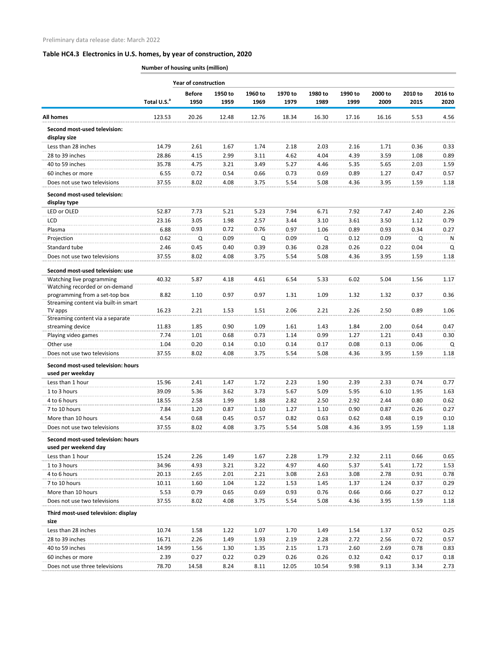|                                                      | <b>Year of construction</b> |                       |                 |                 |                 |                 |                 |                 |                 |                 |
|------------------------------------------------------|-----------------------------|-----------------------|-----------------|-----------------|-----------------|-----------------|-----------------|-----------------|-----------------|-----------------|
|                                                      | Total U.S. <sup>a</sup>     | <b>Before</b><br>1950 | 1950 to<br>1959 | 1960 to<br>1969 | 1970 to<br>1979 | 1980 to<br>1989 | 1990 to<br>1999 | 2000 to<br>2009 | 2010 to<br>2015 | 2016 to<br>2020 |
| <b>All homes</b>                                     | 123.53                      | 20.26                 | 12.48           | 12.76           | 18.34           | 16.30           | 17.16           | 16.16           | 5.53            | 4.56            |
| Second most-used television:<br>display size         |                             |                       |                 |                 |                 |                 |                 |                 |                 |                 |
| Less than 28 inches                                  | 14.79                       | 2.61                  | 1.67            | 1.74            | 2.18            | 2.03            | 2.16            | 1.71            | 0.36            | 0.33            |
| 28 to 39 inches                                      | 28.86                       | 4.15                  | 2.99            | 3.11            | 4.62            | 4.04            | 4.39            | 3.59            | 1.08            | 0.89            |
| 40 to 59 inches                                      | 35.78                       | 4.75                  | 3.21            | 3.49            | 5.27            | 4.46            | 5.35            | 5.65            | 2.03            | 1.59            |
| 60 inches or more                                    | 6.55                        | 0.72                  | 0.54            | 0.66            | 0.73            | 0.69            | 0.89            | 1.27            | 0.47            | 0.57            |
| Does not use two televisions                         | 37.55                       | 8.02                  | 4.08            | 3.75            | 5.54            | 5.08            | 4.36            | 3.95            | 1.59            | 1.18            |
| Second most-used television:<br>display type         |                             |                       |                 |                 |                 |                 |                 |                 |                 |                 |
| LED or OLED                                          | 52.87                       | 7.73                  | 5.21            | 5.23            | 7.94            | 6.71            | 7.92            | 7.47            | 2.40            | 2.26            |
| <b>LCD</b>                                           | 23.16                       | 3.05                  | 1.98            | 2.57            | 3.44            | 3.10            | 3.61            | 3.50            | 1.12            | 0.79            |
| Plasma                                               | 6.88                        | 0.93                  | 0.72            | 0.76            | 0.97            | 1.06            | 0.89            | 0.93            | 0.34            | 0.27            |
| Projection                                           | 0.62                        | Q                     | 0.09            | Q               | 0.09            | Q               | 0.12            | 0.09            | Q               | N               |
| Standard tube                                        | 2.46                        | 0.45                  | 0.40            | 0.39            | 0.36            | 0.28            | 0.26            | 0.22            | 0.04            | Q               |
| Does not use two televisions                         | 37.55                       | 8.02                  | 4.08            | 3.75            | 5.54            | 5.08            | 4.36            | 3.95            | 1.59            | 1.18            |
| Second most-used television: use                     |                             |                       |                 |                 |                 |                 |                 |                 |                 |                 |
| Watching live programming                            | 40.32                       | 5.87                  | 4.18            | 4.61            | 6.54            | 5.33            | 6.02            | 5.04            | 1.56            | 1.17            |
| Watching recorded or on-demand                       |                             |                       |                 |                 |                 |                 |                 |                 |                 |                 |
| programming from a set-top box                       | 8.82                        | 1.10                  | 0.97            | 0.97            | 1.31            | 1.09            | 1.32            | 1.32            | 0.37            | 0.36            |
| Streaming content via built-in smart                 |                             |                       |                 |                 |                 |                 |                 |                 |                 |                 |
| TV apps                                              | 16.23                       | 2.21                  | 1.53            | 1.51            | 2.06            | 2.21            | 2.26            | 2.50            | 0.89            | 1.06            |
| Streaming content via a separate<br>streaming device | 11.83                       | 1.85                  | 0.90            | 1.09            | 1.61            | 1.43            | 1.84            | 2.00            | 0.64            | 0.47            |
| Playing video games                                  | 7.74                        | 1.01                  | 0.68            | 0.73            | 1.14            | 0.99            | 1.27            | 1.21            | 0.43            | 0.30            |
| Other use                                            | 1.04                        | 0.20                  | 0.14            | 0.10            | 0.14            | 0.17            | 0.08            | 0.13            | 0.06            | Q               |
| Does not use two televisions                         | 37.55                       | 8.02                  | 4.08            | 3.75            | 5.54            | 5.08            | 4.36            | 3.95            | 1.59            | 1.18            |
| Second most-used television: hours                   |                             |                       |                 |                 |                 |                 |                 |                 |                 |                 |
| used per weekday                                     |                             |                       |                 |                 |                 |                 |                 |                 |                 |                 |
| Less than 1 hour                                     | 15.96                       | 2.41                  | 1.47            | 1.72            | 2.23            | 1.90            | 2.39            | 2.33            | 0.74            | 0.77            |
| 1 to 3 hours                                         | 39.09                       | 5.36                  | 3.62            | 3.73            | 5.67            | 5.09            | 5.95            | 6.10            | 1.95            | 1.63            |
| 4 to 6 hours                                         | 18.55                       | 2.58                  | 1.99            | 1.88            | 2.82            | 2.50            | 2.92            | 2.44            | 0.80            | 0.62            |
| 7 to 10 hours                                        | 7.84                        | 1.20                  | 0.87            | 1.10            | 1.27            | 1.10            | 0.90            | 0.87            | 0.26            | 0.27            |
| More than 10 hours                                   | 4.54                        | 0.68                  | 0.45            | 0.57            | 0.82            | 0.63            | 0.62            | 0.48            | 0.19            | 0.10            |
| Does not use two televisions                         | 37.55                       | 8.02                  | 4.08            | 3.75            | 5.54            | 5.08            | 4.36            | 3.95            | 1.59            | 1.18            |
| Second most-used television: hours                   |                             |                       |                 |                 |                 |                 |                 |                 |                 |                 |
| used per weekend day                                 |                             |                       |                 |                 |                 |                 |                 |                 |                 |                 |
| Less than 1 hour                                     | 15.24                       | 2.26                  | 1.49            | 1.67            | 2.28            | 1.79            | 2.32            | 2.11            | 0.66            | 0.65            |
| 1 to 3 hours                                         | 34.96                       | 4.93                  | 3.21            | 3.22            | 4.97            | 4.60            | 5.37            | 5.41            | 1.72            | 1.53            |
| 4 to 6 hours                                         | 20.13                       | 2.65                  | 2.01            | 2.21            | 3.08            | 2.63            | 3.08            | 2.78            | 0.91            | 0.78            |
| 7 to 10 hours                                        | 10.11                       | 1.60                  | 1.04            | 1.22            | 1.53            | 1.45            | 1.37            | 1.24            | 0.37            | 0.29            |
| More than 10 hours                                   | 5.53                        | 0.79                  | 0.65            | 0.69            | 0.93            | 0.76            | 0.66            | 0.66            | 0.27            | 0.12            |
| Does not use two televisions                         | 37.55                       | 8.02                  | 4.08            | 3.75            | 5.54            | 5.08            | 4.36            | 3.95            | 1.59            | 1.18            |
| Third most-used television: display<br>size          |                             |                       |                 |                 |                 |                 |                 |                 |                 |                 |
| Less than 28 inches                                  | 10.74                       | 1.58                  | 1.22            | 1.07            | 1.70            | 1.49            | 1.54            | 1.37            | 0.52            | 0.25            |
| 28 to 39 inches                                      | 16.71                       | 2.26                  | 1.49            | 1.93            | 2.19            | 2.28            | 2.72            | 2.56            | 0.72            | 0.57            |
| 40 to 59 inches                                      | 14.99                       | 1.56                  | 1.30            | 1.35            | 2.15            | 1.73            | 2.60            | 2.69            | 0.78            | 0.83            |
| 60 inches or more                                    | 2.39                        | 0.27                  | 0.22            | 0.29            | 0.26            | 0.26            | 0.32            | 0.42            | 0.17            | 0.18            |
| Does not use three televisions                       | 78.70                       | 14.58                 | 8.24            | 8.11            | 12.05           | 10.54           | 9.98            | 9.13            | 3.34            | 2.73            |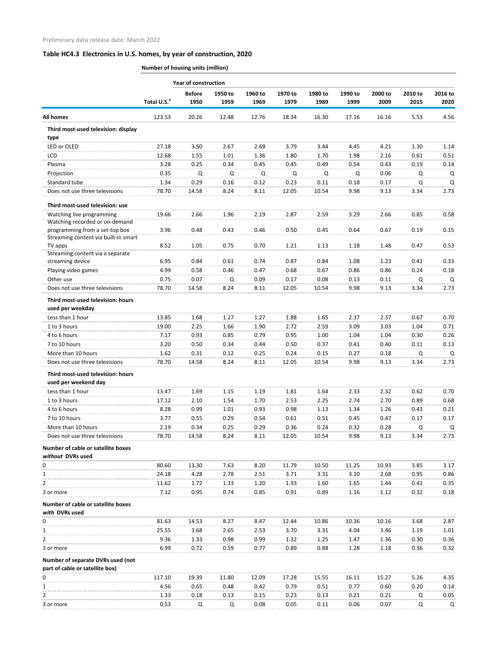|                                                                        |                         | <b>Year of construction</b> |                 |                 |                 |                 |                 |                 |                 |                 |
|------------------------------------------------------------------------|-------------------------|-----------------------------|-----------------|-----------------|-----------------|-----------------|-----------------|-----------------|-----------------|-----------------|
|                                                                        | Total U.S. <sup>a</sup> | <b>Before</b><br>1950       | 1950 to<br>1959 | 1960 to<br>1969 | 1970 to<br>1979 | 1980 to<br>1989 | 1990 to<br>1999 | 2000 to<br>2009 | 2010 to<br>2015 | 2016 to<br>2020 |
| <b>All homes</b>                                                       | 123.53                  | 20.26                       | 12.48           | 12.76           | 18.34           | 16.30           | 17.16           | 16.16           | 5.53            | 4.56            |
| Third most-used television: display<br>type                            |                         |                             |                 |                 |                 |                 |                 |                 |                 |                 |
| LED or OLED                                                            | 27.18                   | 3.50                        | 2.67            | 2.69            | 3.79            | 3.44            | 4.45            | 4.21            | 1.30            | 1.14            |
| <b>LCD</b>                                                             | 12.68                   | 1.55                        | 1.01            | 1.36            | 1.80            | 1.70            | 1.98            | 2.16            | 0.61            | 0.51            |
| Plasma                                                                 | 3.28                    | 0.25                        | 0.34            | 0.45            | 0.45            | 0.49            | 0.54            | 0.43            | 0.19            | 0.14            |
| Projection                                                             | 0.35                    | Q                           | Q               | Q               | Q               | Q               | Q               | 0.06            | Q               | Q               |
| Standard tube                                                          | 1.34                    | 0.29                        | 0.16            | 0.12            | 0.23            | 0.11            | 0.18            | 0.17            | Q               | Q               |
| Does not use three televisions                                         | 78.70                   | 14.58                       | 8.24            | 8.11            | 12.05           | 10.54           | 9.98            | 9.13            | 3.34            | 2.73            |
| Third most-used television: use                                        |                         |                             |                 |                 |                 |                 |                 |                 |                 |                 |
| Watching live programming                                              | 19.66                   | 2.66                        | 1.96            | 2.19            | 2.87            | 2.59            | 3.29            | 2.66            | 0.85            | 0.58            |
| Watching recorded or on-demand                                         |                         |                             |                 |                 |                 |                 |                 |                 |                 |                 |
| programming from a set-top box<br>Streaming content via built-in smart | 3.96                    | 0.48                        | 0.43            | 0.46            | 0.50            | 0.45            | 0.64            | 0.67            | 0.19            | 0.15            |
| TV apps                                                                | 8.52                    | 1.05                        | 0.75            | 0.70            | 1.21            | 1.13            | 1.18            | 1.48            | 0.47            | 0.53            |
| Streaming content via a separate                                       |                         |                             |                 |                 |                 |                 |                 |                 |                 |                 |
| streaming device                                                       | 6.95                    | 0.84                        | 0.61            | 0.74            | 0.87            | 0.84            | 1.08            | 1.23            | 0.41            | 0.33            |
| Playing video games                                                    | 4.99                    | 0.58                        | 0.46            | 0.47            | 0.68            | 0.67            | 0.86            | 0.86            | 0.24            | 0.18            |
| Other use                                                              | 0.75                    | 0.07                        | Q               | 0.09            | 0.17            | 0.08            | 0.13            | 0.11            | Q               | Q               |
| Does not use three televisions<br>Third most-used television: hours    | 78.70                   | 14.58                       | 8.24            | 8.11            | 12.05           | 10.54           | 9.98            | 9.13            | 3.34            | 2.73            |
| used per weekday                                                       |                         |                             |                 |                 |                 |                 |                 |                 |                 |                 |
| Less than 1 hour                                                       | 13.85                   | 1.68                        | 1.27            | 1.27            | 1.88            | 1.65            | 2.37            | 2.37            | 0.67            | 0.70            |
| 1 to 3 hours                                                           | 19.00                   | 2.25                        | 1.66            | 1.90            | 2.72            | 2.59            | 3.09            | 3.03            | 1.04            | 0.71            |
| 4 to 6 hours                                                           | 7.17                    | 0.93                        | 0.85            | 0.79            | 0.95            | 1.00            | 1.04            | 1.04            | 0.30            | 0.26            |
| 7 to 10 hours                                                          | 3.20                    | 0.50                        | 0.34            | 0.44            | 0.50            | 0.37            | 0.41            | 0.40            | 0.11            | 0.13            |
| More than 10 hours                                                     | 1.62                    | 0.31                        | 0.12            | 0.25            | 0.24            | 0.15            | 0.27            | 0.18            | $\Omega$        | Q               |
| Does not use three televisions                                         | 78.70                   | 14.58                       | 8.24            | 8.11            | 12.05           | 10.54           | 9.98            | 9.13            | 3.34            | 2.73            |
| Third most-used television: hours<br>used per weekend day              |                         |                             |                 |                 |                 |                 |                 |                 |                 |                 |
| Less than 1 hour                                                       | 13.47                   | 1.69                        | 1.15            | 1.19            | 1.81            | 1.64            | 2.33            | 2.32            | 0.62            | 0.70            |
| 1 to 3 hours                                                           | 17.12                   | 2.10                        | 1.54            | 1.70            | 2.53            | 2.25            | 2.74            | 2.70            | 0.89            | 0.68            |
| 4 to 6 hours                                                           | 8.28                    | 0.99                        | 1.01            | 0.93            | 0.98            | 1.13            | 1.34            | 1.26            | 0.43            | 0.21            |
| 7 to 10 hours                                                          | 3.77                    | 0.55                        | 0.29            | 0.54            | 0.61            | 0.51            | 0.45            | 0.47            | 0.17            | 0.17            |
| More than 10 hours                                                     | 2.19                    | 0.34                        | 0.25            | 0.29            | 0.36            | 0.24            | 0.32            | 0.28            | Q               | Q               |
| Does not use three televisions                                         | 78.70                   | 14.58                       | 8.24            | 8.11            | 12.05           | 10.54           | 9.98            | 9.13            | 3.34            | 2.73            |
| Number of cable or satellite boxes                                     |                         |                             |                 |                 |                 |                 |                 |                 |                 |                 |
| without DVRs used                                                      |                         |                             |                 |                 |                 |                 |                 |                 |                 |                 |
| 0                                                                      | 80.60                   | 13.30                       | 7.63            | 8.20            | 11.79           | 10.50           | 11.25           | 10.93           | 3.85            | 3.17            |
| 1                                                                      | 24.18                   | 4.28                        | 2.78            | 2.51            | 3.71            | 3.31            | 3.10            | 2.68            | 0.95            | 0.86            |
| 2<br>3 or more                                                         | 11.62<br>7.12           | 1.72<br>0.95                | 1.33<br>0.74    | 1.20<br>0.85    | 1.93<br>0.91    | 1.60<br>0.89    | 1.65<br>1.16    | 1.44<br>1.12    | 0.41<br>0.32    | 0.35<br>0.18    |
| Number of cable or satellite boxes                                     |                         |                             |                 |                 |                 |                 |                 |                 |                 |                 |
| with DVRs used                                                         |                         |                             |                 |                 |                 |                 |                 |                 |                 |                 |
| 0                                                                      | 81.63                   | 14.53                       | 8.27            | 8.47            | 12.44           | 10.86           | 10.36           | 10.16           | 3.68            | 2.87            |
| 1                                                                      | 25.55                   | 3.68                        | 2.65            | 2.53            | 3.70            | 3.31            | 4.04            | 3.46            | 1.19            | 1.01            |
| 2                                                                      | 9.36                    | 1.33                        | 0.98            | 0.99            | 1.32            | 1.25            | 1.47            | 1.36            | 0.30            | 0.36            |
| 3 or more                                                              | 6.99                    | 0.72                        | 0.59            | 0.77            | 0.89            | 0.88            | 1.28            | 1.18            | 0.36            | 0.32            |
| Number of separate DVRs used (not<br>part of cable or satellite box)   |                         |                             |                 |                 |                 |                 |                 |                 |                 |                 |
| 0                                                                      | 117.10                  | 19.39                       | 11.80           | 12.09           | 17.28           | 15.55           | 16.11           | 15.27           | 5.26            | 4.35            |
| 1                                                                      | 4.56                    | 0.65                        | 0.48            | 0.42            | 0.79            | 0.51            | 0.77            | 0.60            | 0.20            | 0.14            |
| 2                                                                      | 1.33                    | 0.18                        | 0.13            | 0.15            | 0.23            | 0.13            | 0.21            | 0.21            | Q               | 0.05            |
| 3 or more                                                              | 0.53                    | Q                           | Q               | 0.08            | 0.05            | 0.11            | 0.06            | 0.07            | Q               | Q               |
|                                                                        |                         |                             |                 |                 |                 |                 |                 |                 |                 |                 |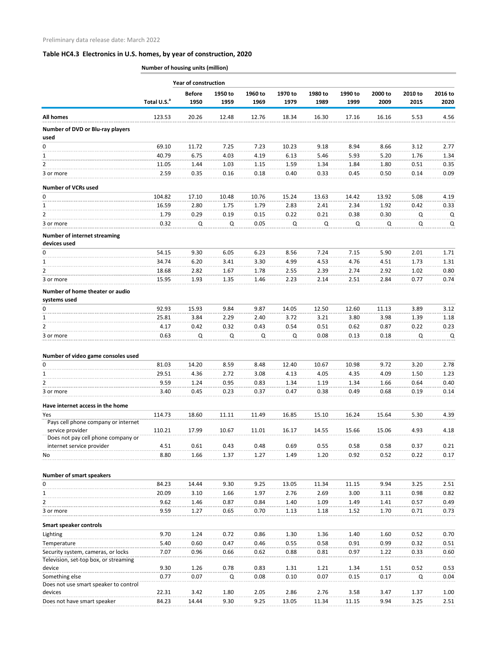|                                                        |                         | <b>Year of construction</b> |                 |                 |                 |                 |                 |                 |                 |                 |
|--------------------------------------------------------|-------------------------|-----------------------------|-----------------|-----------------|-----------------|-----------------|-----------------|-----------------|-----------------|-----------------|
|                                                        | Total U.S. <sup>a</sup> | <b>Before</b><br>1950       | 1950 to<br>1959 | 1960 to<br>1969 | 1970 to<br>1979 | 1980 to<br>1989 | 1990 to<br>1999 | 2000 to<br>2009 | 2010 to<br>2015 | 2016 to<br>2020 |
| <b>All homes</b>                                       | 123.53                  | 20.26                       | 12.48           | 12.76           | 18.34           | 16.30           | 17.16           | 16.16           | 5.53            | 4.56            |
| Number of DVD or Blu-ray players<br>used               |                         |                             |                 |                 |                 |                 |                 |                 |                 |                 |
| $\Omega$                                               | 69.10                   | 11.72                       | 7.25            | 7.23            | 10.23           | 9.18            | 8.94            | 8.66            | 3.12            | 2.77            |
| 1                                                      | 40.79                   | 6.75                        | 4.03            | 4.19            | 6.13            | 5.46            | 5.93            | 5.20            | 1.76            | 1.34            |
| $\overline{2}$                                         | 11.05                   | 1.44                        | 1.03            | 1.15            | 1.59            | 1.34            | 1.84            | 1.80            | 0.51            | 0.35            |
| 3 or more                                              | 2.59                    | 0.35                        | 0.16            | 0.18            | 0.40            | 0.33            | 0.45            | 0.50            | 0.14            | 0.09            |
| <b>Number of VCRs used</b>                             |                         |                             |                 |                 |                 |                 |                 |                 |                 |                 |
| 0                                                      | 104.82                  | 17.10                       | 10.48           | 10.76           | 15.24           | 13.63           | 14.42           | 13.92           | 5.08            | 4.19            |
| 1                                                      | 16.59                   | 2.80                        | 1.75            | 1.79            | 2.83            | 2.41            | 2.34            | 1.92            | 0.42            | 0.33            |
| $\overline{2}$                                         | 1.79                    | 0.29                        | 0.19            | 0.15            | 0.22            | 0.21            | 0.38            | 0.30            | Q               | Q               |
| 3 or more                                              | 0.32                    | Q                           | Q               | 0.05            | Q               | Q               | Q               | Q               | Q               | Q               |
| <b>Number of internet streaming</b><br>devices used    |                         |                             |                 |                 |                 |                 |                 |                 |                 |                 |
| 0                                                      | 54.15                   | 9.30                        | 6.05            | 6.23            | 8.56            | 7.24            | 7.15            | 5.90            | 2.01            | 1.71            |
| $\mathbf{1}$                                           | 34.74                   | 6.20                        | 3.41            | 3.30            | 4.99            | 4.53            | 4.76            | 4.51            | 1.73            | 1.31            |
| $\overline{2}$                                         | 18.68                   | 2.82                        | 1.67            | 1.78            | 2.55            | 2.39            | 2.74            | 2.92            | 1.02            | 0.80            |
| 3 or more                                              | 15.95                   | 1.93                        | 1.35            | 1.46            | 2.23            | 2.14            | 2.51            | 2.84            | 0.77            | 0.74            |
| Number of home theater or audio<br>systems used        |                         |                             |                 |                 |                 |                 |                 |                 |                 |                 |
| $\Omega$                                               | 92.93                   | 15.93                       | 9.84            | 9.87            | 14.05           | 12.50           | 12.60           | 11.13           | 3.89            | 3.12            |
| 1                                                      | 25.81                   | 3.84                        | 2.29            | 2.40            | 3.72            | 3.21            | 3.80            | 3.98            | 1.39            | 1.18            |
| 2                                                      | 4.17                    | 0.42                        | 0.32            | 0.43            | 0.54            | 0.51            | 0.62            | 0.87            | 0.22            | 0.23            |
| 3 or more                                              | 0.63                    | Q                           | Q               | Q               | Q               | 0.08            | 0.13            | 0.18            | Q               | Q               |
| Number of video game consoles used                     |                         |                             |                 |                 |                 |                 |                 |                 |                 |                 |
| 0                                                      | 81.03                   | 14.20                       | 8.59            | 8.48            | 12.40           | 10.67           | 10.98           | 9.72            | 3.20            | 2.78            |
| 1                                                      | 29.51                   | 4.36                        | 2.72            | 3.08            | 4.13            | 4.05            | 4.35            | 4.09            | 1.50            | 1.23            |
| 2                                                      | 9.59                    | 1.24                        | 0.95            | 0.83            | 1.34            | 1.19            | 1.34            | 1.66            | 0.64            | 0.40            |
| 3 or more                                              | 3.40                    | 0.45                        | 0.23            | 0.37            | 0.47            | 0.38            | 0.49            | 0.68            | 0.19            | 0.14            |
| Have internet access in the home                       |                         |                             |                 |                 |                 |                 |                 |                 |                 |                 |
| Yes<br>Pays cell phone company or internet             | 114.73                  | 18.60                       | 11.11           | 11.49           | 16.85           | 15.10           | 16.24           | 15.64           | 5.30            | 4.39            |
| service provider<br>Does not pay cell phone company or | 110.21                  | 17.99                       | 10.67           | 11.01           | 16.17           | 14.55           | 15.66           | 15.06           | 4.93            | 4.18            |
| internet service provider                              | 4.51                    | 0.61                        | 0.43            | 0.48            | 0.69            | 0.55            | 0.58            | 0.58            | 0.37            | 0.21            |
| No                                                     | 8.80                    | 1.66                        | 1.37            | 1.27            | 1.49            | 1.20            | 0.92            | 0.52            | 0.22            | 0.17            |
|                                                        |                         |                             |                 |                 |                 |                 |                 |                 |                 |                 |
| <b>Number of smart speakers</b><br>0                   | 84.23                   | 14.44                       | 9.30            | 9.25            | 13.05           | 11.34           | 11.15           | 9.94            | 3.25            | 2.51            |
| 1                                                      | 20.09                   | 3.10                        | 1.66            | 1.97            | 2.76            | 2.69            | 3.00            | 3.11            | 0.98            | 0.82            |
| $\overline{2}$                                         | 9.62                    | 1.46                        | 0.87            | 0.84            | 1.40            | 1.09            | 1.49            | 1.41            | 0.57            | 0.49            |
| 3 or more                                              | 9.59                    | 1.27                        | 0.65            | 0.70            | 1.13            | 1.18            | 1.52            | 1.70            | 0.71            | 0.73            |
| Smart speaker controls                                 |                         |                             |                 |                 |                 |                 |                 |                 |                 |                 |
| Lighting                                               | 9.70                    | 1.24                        | 0.72            | 0.86            | 1.30            | 1.36            | 1.40            | 1.60            | 0.52            | 0.70            |
| Temperature                                            | 5.40                    | 0.60                        | 0.47            | 0.46            | 0.55            | 0.58            | 0.91            | 0.99            | 0.32            | 0.51            |
| Security system, cameras, or locks                     | 7.07                    | 0.96                        | 0.66            | 0.62            | 0.88            | 0.81            | 0.97            | 1.22            | 0.33            | 0.60            |
| Television, set-top box, or streaming                  | 9.30                    |                             | 0.78            | 0.83            |                 |                 |                 |                 |                 |                 |
| device<br>Something else                               | 0.77                    | 1.26<br>0.07                | Q               | 0.08            | 1.31<br>0.10    | 1.21<br>0.07    | 1.34<br>0.15    | 1.51<br>0.17    | 0.52<br>Q       | 0.53<br>0.04    |
| Does not use smart speaker to control                  |                         |                             |                 |                 |                 |                 |                 |                 |                 |                 |
| devices                                                | 22.31                   | 3.42                        | 1.80            | 2.05            | 2.86            | 2.76            | 3.58            | 3.47            | 1.37            | 1.00            |
| Does not have smart speaker                            | 84.23                   | 14.44                       | 9.30            | 9.25            | 13.05           | 11.34           | 11.15           | 9.94            | 3.25            | 2.51            |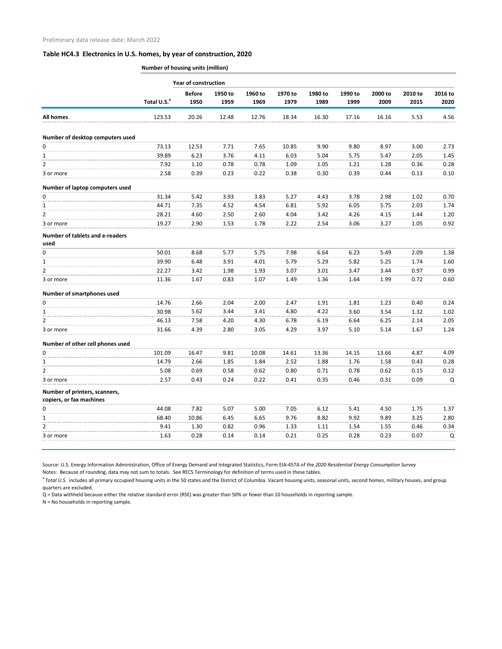**Number of housing units (million)**

|                                         | <b>Year of construction</b> |                       |                 |                 |                 |                 |                 |                 |                 |                 |  |
|-----------------------------------------|-----------------------------|-----------------------|-----------------|-----------------|-----------------|-----------------|-----------------|-----------------|-----------------|-----------------|--|
|                                         | Total U.S. <sup>a</sup>     | <b>Before</b><br>1950 | 1950 to<br>1959 | 1960 to<br>1969 | 1970 to<br>1979 | 1980 to<br>1989 | 1990 to<br>1999 | 2000 to<br>2009 | 2010 to<br>2015 | 2016 to<br>2020 |  |
| <b>All homes</b>                        | 123.53                      | 20.26                 | 12.48           | 12.76           | 18.34           | 16.30           | 17.16           | 16.16           | 5.53            | 4.56            |  |
|                                         |                             |                       |                 |                 |                 |                 |                 |                 |                 |                 |  |
| Number of desktop computers used        |                             |                       |                 |                 |                 |                 |                 |                 |                 |                 |  |
| 0                                       | 73.13                       | 12.53                 | 7.71            | 7.65            | 10.85           | 9.90            | 9.80            | 8.97            | 3.00            | 2.73            |  |
| 1                                       | 39.89                       | 6.23                  | 3.76            | 4.11            | 6.03            | 5.04            | 5.75            | 5.47            | 2.05            | 1.45            |  |
| $\overline{2}$                          | 7.92                        | 1.10                  | 0.78            | 0.78            | 1.09            | 1.05            | 1.21            | 1.28            | 0.36            | 0.28            |  |
| 3 or more                               | 2.58                        | 0.39                  | 0.23            | 0.22            | 0.38            | 0.30            | 0.39            | 0.44            | 0.13            | 0.10            |  |
| Number of laptop computers used         |                             |                       |                 |                 |                 |                 |                 |                 |                 |                 |  |
| 0                                       | 31.34                       | 5.42                  | 3.93            | 3.83            | 5.27            | 4.43            | 3.78            | 2.98            | 1.02            | 0.70            |  |
| $\mathbf{1}$                            | 44.71                       | 7.35                  | 4.52            | 4.54            | 6.81            | 5.92            | 6.05            | 5.75            | 2.03            | 1.74            |  |
| $\overline{2}$                          | 28.21                       | 4.60                  | 2.50            | 2.60            | 4.04            | 3.42            | 4.26            | 4.15            | 1.44            | 1.20            |  |
| 3 or more                               | 19.27                       | 2.90                  | 1.53            | 1.78            | 2.22            | 2.54            | 3.06            | 3.27            | 1.05            | 0.92            |  |
| Number of tablets and e-readers<br>used |                             |                       |                 |                 |                 |                 |                 |                 |                 |                 |  |
| 0                                       | 50.01                       | 8.68                  | 5.77            | 5.75            | 7.98            | 6.64            | 6.23            | 5.49            | 2.09            | 1.38            |  |
| $\mathbf{1}$                            | 39.90                       | 6.48                  | 3.91            | 4.01            | 5.79            | 5.29            | 5.82            | 5.25            | 1.74            | 1.60            |  |
| $\overline{2}$                          | 22.27                       | 3.42                  | 1.98            | 1.93            | 3.07            | 3.01            | 3.47            | 3.44            | 0.97            | 0.99            |  |
| 3 or more                               | 11.36                       | 1.67                  | 0.83            | 1.07            | 1.49            | 1.36            | 1.64            | 1.99            | 0.72            | 0.60            |  |
| Number of smartphones used              |                             |                       |                 |                 |                 |                 |                 |                 |                 |                 |  |
| 0                                       | 14.76                       | 2.66                  | 2.04            | 2.00            | 2.47            | 1.91            | 1.81            | 1.23            | 0.40            | 0.24            |  |
| 1                                       | 30.98                       | 5.62                  | 3.44            | 3.41            | 4.80            | 4.22            | 3.60            | 3.54            | 1.32            | 1.02            |  |
| $\overline{2}$                          | 46.13                       | 7.58                  | 4.20            | 4.30            | 6.78            | 6.19            | 6.64            | 6.25            | 2.14            | 2.05            |  |
| 3 or more                               | 31.66                       | 4.39                  | 2.80            | 3.05            | 4.29            | 3.97            | 5.10            | 5.14            | 1.67            | 1.24            |  |
| Number of other cell phones used        |                             |                       |                 |                 |                 |                 |                 |                 |                 |                 |  |
| U                                       | 101.09                      | 16.47                 | 9.81            | 10.08           | 14.61           | 13.36           | 14.15           | 13.66           | 4.87            | 4.09            |  |
| 1                                       | 14.79                       | 2.66                  | 1.85            | 1.84            | 2.52            | 1.88            | 1.76            | 1.58            | 0.43            | 0.28            |  |
| 2                                       | 5.08                        | 0.69                  | 0.58            | 0.62            | 0.80            | 0.71            | 0.78            | 0.62            | 0.15            | 0.12            |  |
| 3 or more                               | 2.57                        | 0.43                  | 0.24            | 0.22            | 0.41            | 0.35            | 0.46            | 0.31            | 0.09            | Q               |  |
| Number of printers, scanners,           |                             |                       |                 |                 |                 |                 |                 |                 |                 |                 |  |
| copiers, or fax machines                |                             |                       |                 |                 |                 |                 |                 |                 |                 |                 |  |
| 0                                       | 44.08                       | 7.82                  | 5.07            | 5.00            | 7.05            | 6.12            | 5.41            | 4.50            | 1.75            | 1.37            |  |
| 1                                       | 68.40                       | 10.86                 | 6.45            | 6.65            | 9.76            | 8.82            | 9.92            | 9.89            | 3.25            | 2.80            |  |
| 2                                       | 9.41                        | 1.30                  | 0.82            | 0.96            | 1.33            | 1.11            | 1.54            | 1.55            | 0.46            | 0.34            |  |
| 3 or more                               | 1.63                        | 0.28                  | 0.14            | 0.14            | 0.21            | 0.25            | 0.28            | 0.23            | 0.07            | Q               |  |
|                                         |                             |                       |                 |                 |                 |                 |                 |                 |                 |                 |  |

Source: U.S. Energy Information Administration, Office of Energy Demand and Integrated Statistics, Form EIA-457A of the *2020 Residential Energy Consumption Survey* Notes: Because of rounding, data may not sum to totals. See RECS Terminology for definition of terms used in these tables.

<sup>a</sup> Total U.S. includes all primary occupied housing units in the 50 states and the District of Columbia. Vacant housing units, seasonal units, second homes, military houses, and group quarters are excluded.

Q = Data withheld because either the relative standard error (RSE) was greater than 50% or fewer than 10 households in reporting sample.

N = No households in reporting sample.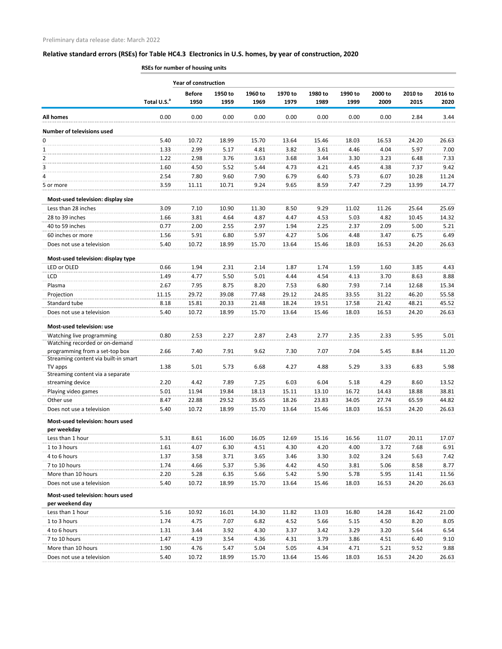|                                                     |                         | <b>Year of construction</b> |                 |                 |                 |                 |                 |                 |                 |                 |
|-----------------------------------------------------|-------------------------|-----------------------------|-----------------|-----------------|-----------------|-----------------|-----------------|-----------------|-----------------|-----------------|
|                                                     | Total U.S. <sup>a</sup> | <b>Before</b><br>1950       | 1950 to<br>1959 | 1960 to<br>1969 | 1970 to<br>1979 | 1980 to<br>1989 | 1990 to<br>1999 | 2000 to<br>2009 | 2010 to<br>2015 | 2016 to<br>2020 |
| <b>All homes</b>                                    | 0.00                    | 0.00                        | 0.00            | 0.00            | 0.00            | 0.00            | 0.00            | 0.00            | 2.84            | 3.44            |
| <b>Number of televisions used</b>                   |                         |                             |                 |                 |                 |                 |                 |                 |                 |                 |
| 0                                                   | 5.40                    | 10.72                       | 18.99           | 15.70           | 13.64           | 15.46           | 18.03           | 16.53           | 24.20           | 26.63           |
| $\mathbf{1}$                                        | 1.33                    | 2.99                        | 5.17            | 4.81            | 3.82            | 3.61            | 4.46            | 4.04            | 5.97            | 7.00            |
| 2                                                   | 1.22                    | 2.98                        | 3.76            | 3.63            | 3.68            | 3.44            | 3.30            | 3.23            | 6.48            | 7.33            |
| 3                                                   | 1.60                    | 4.50                        | 5.52            | 5.44            | 4.73            | 4.21            | 4.45            | 4.38            | 7.37            | 9.42            |
| 4                                                   | 2.54                    | 7.80                        | 9.60            | 7.90            | 6.79            | 6.40            | 5.73            | 6.07            | 10.28           | 11.24           |
| 5 or more                                           | 3.59                    | 11.11                       | 10.71           | 9.24            | 9.65            | 8.59            | 7.47            | 7.29            | 13.99           | 14.77           |
| Most-used television: display size                  |                         |                             |                 |                 |                 |                 |                 |                 |                 |                 |
| Less than 28 inches                                 | 3.09                    | 7.10                        | 10.90           | 11.30           | 8.50            | 9.29            | 11.02           | 11.26           | 25.64           | 25.69           |
| 28 to 39 inches                                     | 1.66                    | 3.81                        | 4.64            | 4.87            | 4.47            | 4.53            | 5.03            | 4.82            | 10.45           | 14.32           |
| 40 to 59 inches                                     | 0.77                    | 2.00                        | 2.55            | 2.97            | 1.94            | 2.25            | 2.37            | 2.09            | 5.00            | 5.21            |
| 60 inches or more                                   | 1.56                    | 5.91                        | 6.80            | 5.97            | 4.27            | 5.06            | 4.48            | 3.47            | 6.75            | 6.49            |
| Does not use a television                           | 5.40                    | 10.72                       | 18.99           | 15.70           | 13.64           | 15.46           | 18.03           | 16.53           | 24.20           | 26.63           |
| Most-used television: display type                  |                         |                             |                 |                 |                 |                 |                 |                 |                 |                 |
| LED or OLED                                         | 0.66                    | 1.94                        | 2.31            | 2.14            | 1.87            | 1.74            | 1.59            | 1.60            | 3.85            | 4.43            |
| LCD                                                 | 1.49                    | 4.77                        | 5.50            | 5.01            | 4.44            | 4.54            | 4.13            | 3.70            | 8.63            | 8.88            |
| Plasma                                              | 2.67                    | 7.95                        | 8.75            | 8.20            | 7.53            | 6.80            | 7.93            | 7.14            | 12.68           | 15.34           |
| Projection                                          | 11.15                   | 29.72                       | 39.08           | 77.48           | 29.12           | 24.85           | 33.55           | 31.22           | 46.20           | 55.58           |
| Standard tube                                       | 8.18                    | 15.81                       | 20.33           | 21.48           | 18.24           | 19.51           | 17.58           | 21.42           | 48.21           | 45.52           |
| Does not use a television                           | 5.40                    | 10.72                       | 18.99           | 15.70           | 13.64           | 15.46           | 18.03           | 16.53           | 24.20           | 26.63           |
| Most-used television: use                           |                         |                             |                 |                 |                 |                 |                 |                 |                 |                 |
| Watching live programming                           | 0.80                    | 2.53                        | 2.27            | 2.87            | 2.43            | 2.77            | 2.35            | 2.33            | 5.95            | 5.01            |
| Watching recorded or on-demand                      |                         |                             |                 |                 |                 |                 |                 |                 |                 |                 |
| programming from a set-top box                      | 2.66                    | 7.40                        | 7.91            | 9.62            | 7.30            | 7.07            | 7.04            | 5.45            | 8.84            | 11.20           |
| Streaming content via built-in smart                |                         |                             |                 |                 |                 |                 |                 |                 |                 |                 |
| TV apps                                             | 1.38                    | 5.01                        | 5.73            | 6.68            | 4.27            | 4.88            | 5.29            | 3.33            | 6.83            | 5.98            |
| Streaming content via a separate                    |                         |                             |                 |                 |                 |                 |                 |                 |                 |                 |
| streaming device                                    | 2.20                    | 4.42                        | 7.89            | 7.25            | 6.03            | 6.04            | 5.18            | 4.29            | 8.60            | 13.52           |
| Playing video games<br>Other use                    | 5.01<br>8.47            | 11.94<br>22.88              | 19.84<br>29.52  | 18.13<br>35.65  | 15.11<br>18.26  | 13.10<br>23.83  | 16.72<br>34.05  | 14.43<br>27.74  | 18.88<br>65.59  | 38.81<br>44.82  |
| Does not use a television                           | 5.40                    | 10.72                       | 18.99           | 15.70           | 13.64           | 15.46           | 18.03           | 16.53           | 24.20           | 26.63           |
|                                                     |                         |                             |                 |                 |                 |                 |                 |                 |                 |                 |
| Most-used television: hours used<br>per weekday     |                         |                             |                 |                 |                 |                 |                 |                 |                 |                 |
| Less than 1 hour                                    | 5.31                    | 8.61                        | 16.00           | 16.05           | 12.69           | 15.16           | 16.56           | 11.07           | 20.11           | 17.07           |
| 1 to 3 hours                                        | 1.61                    | 4.07                        | 6.30            | 4.51            | 4.30            | 4.20            | 4.00            | 3.72            | 7.68            | 6.91            |
| 4 to 6 hours                                        | 1.37                    | 3.58                        | 3.71            | 3.65            | 3.46            | 3.30            | 3.02            | 3.24            | 5.63            | 7.42            |
| 7 to 10 hours                                       | 1.74                    | 4.66                        | 5.37            | 5.36            | 4.42            | 4.50            | 3.81            | 5.06            | 8.58            | 8.77            |
| More than 10 hours                                  | 2.20                    | 5.28                        | 6.35            | 5.66            | 5.42            | 5.90            | 5.78            | 5.95            | 11.41           | 11.56           |
| Does not use a television                           | 5.40                    | 10.72                       | 18.99           | 15.70           | 13.64           | 15.46           | 18.03           | 16.53           | 24.20           | 26.63           |
| Most-used television: hours used<br>per weekend day |                         |                             |                 |                 |                 |                 |                 |                 |                 |                 |
| Less than 1 hour                                    | 5.16                    | 10.92                       | 16.01           | 14.30           | 11.82           | 13.03           | 16.80           | 14.28           | 16.42           | 21.00           |
| 1 to 3 hours                                        | 1.74                    | 4.75                        | 7.07            | 6.82            | 4.52            | 5.66            | 5.15            | 4.50            | 8.20            | 8.05            |
| 4 to 6 hours                                        | 1.31                    | 3.44                        | 3.92            | 4.30            | 3.37            | 3.42            | 3.29            | 3.20            | 5.64            | 6.54            |
| 7 to 10 hours                                       | 1.47                    | 4.19                        | 3.54            | 4.36            | 4.31            | 3.79            | 3.86            | 4.51            | 6.40            | 9.10            |
| More than 10 hours                                  | 1.90                    | 4.76                        | 5.47            | 5.04            | 5.05            | 4.34            | 4.71            | 5.21            | 9.52            | 9.88            |
| Does not use a television                           | 5.40                    | 10.72                       | 18.99           | 15.70           | 13.64           | 15.46           | 18.03           | 16.53           | 24.20           | 26.63           |
|                                                     |                         |                             |                 |                 |                 |                 |                 |                 |                 |                 |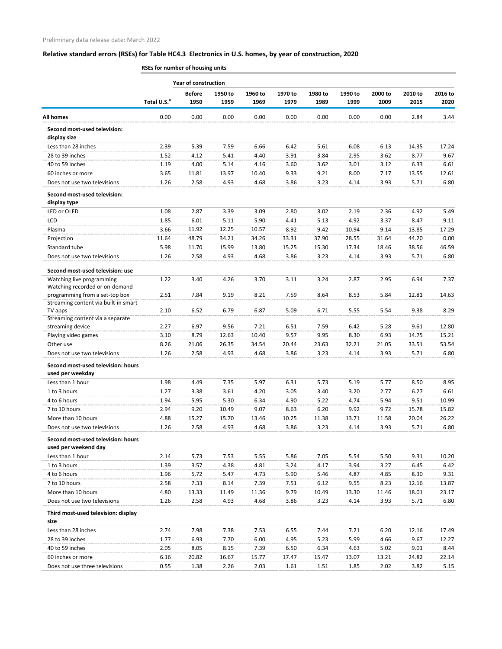|                                                      | <b>Year of construction</b> |               |         |         |         |         |         |         |         |         |
|------------------------------------------------------|-----------------------------|---------------|---------|---------|---------|---------|---------|---------|---------|---------|
|                                                      |                             | <b>Before</b> | 1950 to | 1960 to | 1970 to | 1980 to | 1990 to | 2000 to | 2010 to | 2016 to |
|                                                      | Total U.S. <sup>a</sup>     | 1950          | 1959    | 1969    | 1979    | 1989    | 1999    | 2009    | 2015    | 2020    |
| <b>All homes</b>                                     | 0.00                        | 0.00          | 0.00    | 0.00    | 0.00    | 0.00    | 0.00    | 0.00    | 2.84    | 3.44    |
| Second most-used television:<br>display size         |                             |               |         |         |         |         |         |         |         |         |
| Less than 28 inches                                  | 2.39                        | 5.39          | 7.59    | 6.66    | 6.42    | 5.61    | 6.08    | 6.13    | 14.35   | 17.24   |
| 28 to 39 inches                                      | 1.52                        | 4.12          | 5.41    | 4.40    | 3.91    | 3.84    | 2.95    | 3.62    | 8.77    | 9.67    |
| 40 to 59 inches                                      | 1.19                        | 4.00          | 5.14    | 4.16    | 3.60    | 3.62    | 3.01    | 3.12    | 6.33    | 6.61    |
| 60 inches or more                                    | 3.65                        | 11.81         | 13.97   | 10.40   | 9.33    | 9.21    | 8.00    | 7.17    | 13.55   | 12.61   |
| Does not use two televisions                         | 1.26                        | 2.58          | 4.93    | 4.68    | 3.86    | 3.23    | 4.14    | 3.93    | 5.71    | 6.80    |
| Second most-used television:<br>display type         |                             |               |         |         |         |         |         |         |         |         |
| LED or OLED                                          | 1.08                        | 2.87          | 3.39    | 3.09    | 2.80    | 3.02    | 2.19    | 2.36    | 4.92    | 5.49    |
| LCD                                                  | 1.85                        | 6.01          | 5.11    | 5.90    | 4.41    | 5.13    | 4.92    | 3.37    | 8.47    | 9.11    |
| Plasma                                               | 3.66                        | 11.92         | 12.25   | 10.57   | 8.92    | 9.42    | 10.94   | 9.14    | 13.85   | 17.29   |
| Projection                                           | 11.64                       | 48.79         | 34.21   | 34.26   | 33.31   | 37.90   | 28.55   | 31.64   | 44.20   | 0.00    |
| Standard tube                                        | 5.98                        | 11.70         | 15.99   | 13.80   | 15.25   | 15.30   | 17.34   | 18.46   | 38.56   | 46.59   |
| Does not use two televisions                         | 1.26                        | 2.58          | 4.93    | 4.68    | 3.86    | 3.23    | 4.14    | 3.93    | 5.71    | 6.80    |
| Second most-used television: use                     |                             |               |         |         |         |         |         |         |         |         |
| Watching live programming                            | 1.22                        | 3.40          | 4.26    | 3.70    | 3.11    | 3.24    | 2.87    | 2.95    | 6.94    | 7.37    |
| Watching recorded or on-demand                       |                             |               |         |         |         |         |         |         |         |         |
| programming from a set-top box                       | 2.51                        | 7.84          | 9.19    | 8.21    | 7.59    | 8.64    | 8.53    | 5.84    | 12.81   | 14.63   |
| Streaming content via built-in smart                 |                             |               |         |         |         |         |         |         |         |         |
| TV apps                                              | 2.10                        | 6.52          | 6.79    | 6.87    | 5.09    | 6.71    | 5.55    | 5.54    | 9.38    | 8.29    |
| Streaming content via a separate<br>streaming device | 2.27                        | 6.97          | 9.56    | 7.21    | 6.51    | 7.59    | 6.42    | 5.28    | 9.61    | 12.80   |
| Playing video games                                  | 3.10                        | 8.79          | 12.63   | 10.40   | 9.57    | 9.95    | 8.30    | 6.93    | 14.75   | 15.21   |
| Other use                                            | 8.26                        | 21.06         | 26.35   | 34.54   | 20.44   | 23.63   | 32.21   | 21.05   | 33.51   | 53.54   |
| Does not use two televisions                         | 1.26                        | 2.58          | 4.93    | 4.68    | 3.86    | 3.23    | 4.14    | 3.93    | 5.71    | 6.80    |
| Second most-used television: hours                   |                             |               |         |         |         |         |         |         |         |         |
| used per weekday                                     |                             |               |         |         |         |         |         |         |         |         |
| Less than 1 hour                                     | 1.98                        | 4.49          | 7.35    | 5.97    | 6.31    | 5.73    | 5.19    | 5.77    | 8.50    | 8.95    |
| 1 to 3 hours                                         | 1.27                        | 3.38          | 3.61    | 4.20    | 3.05    | 3.40    | 3.20    | 2.77    | 6.27    | 6.61    |
| 4 to 6 hours                                         | 1.94                        | 5.95          | 5.30    | 6.34    | 4.90    | 5.22    | 4.74    | 5.94    | 9.51    | 10.99   |
| 7 to 10 hours                                        | 2.94                        | 9.20          | 10.49   | 9.07    | 8.63    | 6.20    | 9.92    | 9.72    | 15.78   | 15.82   |
| More than 10 hours                                   | 4.88                        | 15.27         | 15.70   | 13.46   | 10.25   | 11.38   | 13.71   | 11.58   | 20.04   | 26.22   |
| Does not use two televisions                         | 1.26                        | 2.58          | 4.93    | 4.68    | 3.86    | 3.23    | 4.14    | 3.93    | 5.71    | 6.80    |
| Second most-used television: hours                   |                             |               |         |         |         |         |         |         |         |         |
| used per weekend day                                 |                             |               |         |         |         |         |         |         |         |         |
| Less than 1 hour                                     | 2.14                        | 5.73          | 7.53    | 5.55    | 5.86    | 7.05    | 5.54    | 5.50    | 9.31    | 10.20   |
| 1 to 3 hours                                         | 1.39                        | 3.57          | 4.38    | 4.81    | 3.24    | 4.17    | 3.94    | 3.27    | 6.45    | 6.42    |
| 4 to 6 hours                                         | 1.96                        | 5.72          | 5.47    | 4.73    | 5.90    | 5.46    | 4.87    | 4.85    | 8.30    | 9.31    |
| 7 to 10 hours                                        | 2.58                        | 7.33          | 8.14    | 7.39    | 7.51    | 6.12    | 9.55    | 8.23    | 12.16   | 13.87   |
| More than 10 hours                                   | 4.80                        | 13.33         | 11.49   | 11.36   | 9.79    | 10.49   | 13.30   | 11.46   | 18.01   | 23.17   |
| Does not use two televisions                         | 1.26                        | 2.58          | 4.93    | 4.68    | 3.86    | 3.23    | 4.14    | 3.93    | 5.71    | 6.80    |
| Third most-used television: display<br>size          |                             |               |         |         |         |         |         |         |         |         |
| Less than 28 inches                                  | 2.74                        | 7.98          | 7.38    | 7.53    | 6.55    | 7.44    | 7.21    | 6.20    | 12.16   | 17.49   |
| 28 to 39 inches                                      | 1.77                        | 6.93          | 7.70    | 6.00    | 4.95    | 5.23    | 5.99    | 4.66    | 9.67    | 12.27   |
| 40 to 59 inches                                      | 2.05                        | 8.05          | 8.15    | 7.39    | 6.50    | 6.34    | 4.63    | 5.02    | 9.01    | 8.44    |
| 60 inches or more                                    | 6.16                        | 20.82         | 16.67   | 15.77   | 17.47   | 15.47   | 13.07   | 13.21   | 24.82   | 22.14   |
| Does not use three televisions                       | 0.55                        | 1.38          | 2.26    | 2.03    | 1.61    | 1.51    | 1.85    | 2.02    | 3.82    | 5.15    |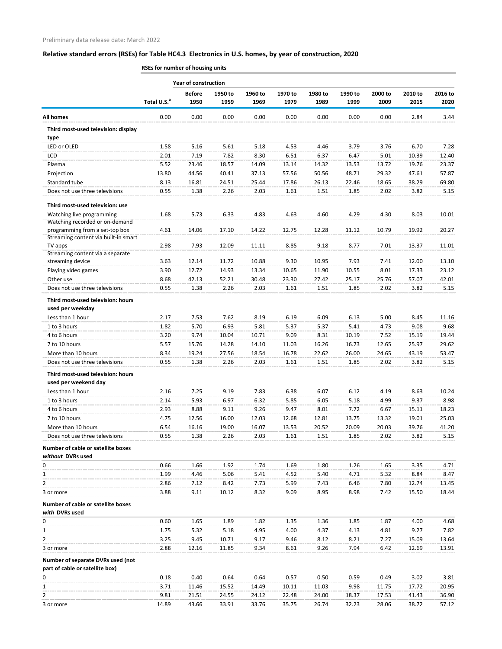|                                                                        |                         | <b>Year of construction</b> |                 |                 |                 |                 |                 |                 |                 |                 |
|------------------------------------------------------------------------|-------------------------|-----------------------------|-----------------|-----------------|-----------------|-----------------|-----------------|-----------------|-----------------|-----------------|
|                                                                        | Total U.S. <sup>a</sup> | <b>Before</b><br>1950       | 1950 to<br>1959 | 1960 to<br>1969 | 1970 to<br>1979 | 1980 to<br>1989 | 1990 to<br>1999 | 2000 to<br>2009 | 2010 to<br>2015 | 2016 to<br>2020 |
| <b>All homes</b>                                                       | 0.00                    | 0.00                        | 0.00            | 0.00            | 0.00            | 0.00            | 0.00            | 0.00            | 2.84            | 3.44            |
| Third most-used television: display<br>type                            |                         |                             |                 |                 |                 |                 |                 |                 |                 |                 |
| LED or OLED                                                            | 1.58                    | 5.16                        | 5.61            | 5.18            | 4.53            | 4.46            | 3.79            | 3.76            | 6.70            | 7.28            |
| <b>LCD</b>                                                             | 2.01                    | 7.19                        | 7.82            | 8.30            | 6.51            | 6.37            | 6.47            | 5.01            | 10.39           | 12.40           |
| Plasma                                                                 | 5.52                    | 23.46                       | 18.57           | 14.09           | 13.14           | 14.32           | 13.53           | 13.72           | 19.76           | 23.37           |
| Projection                                                             | 13.80                   | 44.56                       | 40.41           | 37.13           | 57.56           | 50.56           | 48.71           | 29.32           | 47.61           | 57.87           |
| Standard tube                                                          | 8.13                    | 16.81                       | 24.51           | 25.44           | 17.86           | 26.13           | 22.46           | 18.65           | 38.29           | 69.80           |
| Does not use three televisions                                         | 0.55                    | 1.38                        | 2.26            | 2.03            | 1.61            | 1.51            | 1.85            | 2.02            | 3.82            | 5.15            |
| Third most-used television: use                                        |                         |                             |                 |                 |                 |                 |                 |                 |                 |                 |
| Watching live programming                                              | 1.68                    | 5.73                        | 6.33            | 4.83            | 4.63            | 4.60            | 4.29            | 4.30            | 8.03            | 10.01           |
| Watching recorded or on-demand                                         |                         |                             |                 |                 |                 |                 |                 |                 |                 |                 |
| programming from a set-top box<br>Streaming content via built-in smart | 4.61                    | 14.06                       | 17.10           | 14.22           | 12.75           | 12.28           | 11.12           | 10.79           | 19.92           | 20.27           |
| TV apps                                                                | 2.98                    | 7.93                        | 12.09           | 11.11           | 8.85            | 9.18            | 8.77            | 7.01            | 13.37           | 11.01           |
| Streaming content via a separate                                       |                         |                             |                 |                 |                 |                 |                 |                 |                 |                 |
| streaming device                                                       | 3.63                    | 12.14                       | 11.72           | 10.88           | 9.30            | 10.95           | 7.93            | 7.41            | 12.00           | 13.10           |
| Playing video games                                                    | 3.90                    | 12.72                       | 14.93           | 13.34           | 10.65           | 11.90           | 10.55           | 8.01            | 17.33           | 23.12           |
| Other use<br>Does not use three televisions                            | 8.68                    | 42.13                       | 52.21           | 30.48           | 23.30           | 27.42           | 25.17           | 25.76           | 57.07           | 42.01           |
| Third most-used television: hours                                      | 0.55                    | 1.38                        | 2.26            | 2.03            | 1.61            | 1.51            | 1.85            | 2.02            | 3.82            | 5.15            |
| used per weekday                                                       |                         |                             |                 |                 |                 |                 |                 |                 |                 |                 |
| Less than 1 hour                                                       | 2.17                    | 7.53                        | 7.62            | 8.19            | 6.19            | 6.09            | 6.13            | 5.00            | 8.45            | 11.16           |
| 1 to 3 hours                                                           | 1.82                    | 5.70                        | 6.93            | 5.81            | 5.37            | 5.37            | 5.41            | 4.73            | 9.08            | 9.68            |
| 4 to 6 hours                                                           | 3.20                    | 9.74                        | 10.04           | 10.71           | 9.09            | 8.31            | 10.19           | 7.52            | 15.19           | 19.44           |
| 7 to 10 hours                                                          | 5.57                    | 15.76                       | 14.28           | 14.10           | 11.03           | 16.26           | 16.73           | 12.65           | 25.97           | 29.62           |
| More than 10 hours                                                     | 8.34                    | 19.24                       | 27.56           | 18.54           | 16.78           | 22.62           | 26.00           | 24.65           | 43.19           | 53.47           |
| Does not use three televisions                                         | 0.55                    | 1.38                        | 2.26            | 2.03            | 1.61            | 1.51            | 1.85            | 2.02            | 3.82            | 5.15            |
| Third most-used television: hours<br>used per weekend day              |                         |                             |                 |                 |                 |                 |                 |                 |                 |                 |
| Less than 1 hour                                                       | 2.16                    | 7.25                        | 9.19            | 7.83            | 6.38            | 6.07            | 6.12            | 4.19            | 8.63            | 10.24           |
| 1 to 3 hours                                                           | 2.14                    | 5.93                        | 6.97            | 6.32            | 5.85            | 6.05            | 5.18            | 4.99            | 9.37            | 8.98            |
| 4 to 6 hours                                                           | 2.93                    | 8.88                        | 9.11            | 9.26            | 9.47            | 8.01            | 7.72            | 6.67            | 15.11           | 18.23           |
| 7 to 10 hours                                                          | 4.75                    | 12.56                       | 16.00           | 12.03           | 12.68           | 12.81           | 13.75           | 13.32           | 19.01           | 25.03           |
| More than 10 hours                                                     | 6.54                    | 16.16                       | 19.00           | 16.07           | 13.53           | 20.52           | 20.09           | 20.03           | 39.76           | 41.20           |
| Does not use three televisions                                         | 0.55                    | 1.38                        | 2.26            | 2.03            | 1.61            | 1.51            | 1.85            | 2.02            | 3.82            | 5.15            |
| Number of cable or satellite boxes<br>without DVRs used                |                         |                             |                 |                 |                 |                 |                 |                 |                 |                 |
| 0                                                                      | 0.66                    | 1.66                        | 1.92            | 1.74            | 1.69            | 1.80            | 1.26            | 1.65            | 3.35            | 4.71            |
| 1                                                                      | 1.99                    | 4.46                        | 5.06            | 5.41            | 4.52            | 5.40            | 4.71            | 5.32            | 8.84            | 8.47            |
| 2                                                                      | 2.86                    | 7.12                        | 8.42            | 7.73            | 5.99            | 7.43            | 6.46            | 7.80            | 12.74           | 13.45           |
| 3 or more                                                              | 3.88                    | 9.11                        | 10.12           | 8.32            | 9.09            | 8.95            | 8.98            | 7.42            | 15.50           | 18.44           |
| Number of cable or satellite boxes<br>with DVRs used                   |                         |                             |                 |                 |                 |                 |                 |                 |                 |                 |
| 0                                                                      | 0.60                    | 1.65                        | 1.89            | 1.82            | 1.35            | 1.36            | 1.85            | 1.87            | 4.00            | 4.68            |
| 1                                                                      | 1.75                    | 5.32                        | 5.18            | 4.95            | 4.00            | 4.37            | 4.13            | 4.81            | 9.27            | 7.82            |
| 2                                                                      | 3.25                    | 9.45                        | 10.71           | 9.17            | 9.46            | 8.12            | 8.21            | 7.27            | 15.09           | 13.64           |
| 3 or more                                                              | 2.88                    | 12.16                       | 11.85           | 9.34            | 8.61            | 9.26            | 7.94            | 6.42            | 12.69           | 13.91           |
| Number of separate DVRs used (not                                      |                         |                             |                 |                 |                 |                 |                 |                 |                 |                 |
| part of cable or satellite box)                                        |                         |                             |                 |                 |                 |                 |                 |                 |                 |                 |
| 0                                                                      | 0.18                    | 0.40                        | 0.64            | 0.64            | 0.57            | 0.50            | 0.59            | 0.49            | 3.02            | 3.81            |
| 1                                                                      | 3.71                    | 11.46                       | 15.52           | 14.49           | 10.11           | 11.03           | 9.98            | 11.75           | 17.72           | 20.95           |
| 2                                                                      | 9.81                    | 21.51                       | 24.55           | 24.12           | 22.48           | 24.00           | 18.37           | 17.53           | 41.43           | 36.90           |
| 3 or more                                                              | 14.89                   | 43.66                       | 33.91           | 33.76           | 35.75           | 26.74           | 32.23           | 28.06           | 38.72           | 57.12           |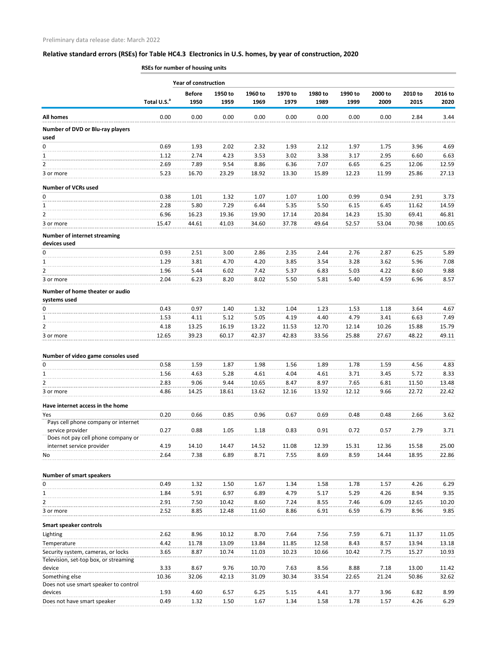|                                                                             |                         | <b>Year of construction</b> |                 |                 |                 |                 |                 |                 |                 |                 |
|-----------------------------------------------------------------------------|-------------------------|-----------------------------|-----------------|-----------------|-----------------|-----------------|-----------------|-----------------|-----------------|-----------------|
|                                                                             | Total U.S. <sup>a</sup> | <b>Before</b><br>1950       | 1950 to<br>1959 | 1960 to<br>1969 | 1970 to<br>1979 | 1980 to<br>1989 | 1990 to<br>1999 | 2000 to<br>2009 | 2010 to<br>2015 | 2016 to<br>2020 |
| <b>All homes</b>                                                            | 0.00                    | 0.00                        | 0.00            | 0.00            | 0.00            | 0.00            | 0.00            | 0.00            | 2.84            | 3.44            |
| Number of DVD or Blu-ray players<br>used                                    |                         |                             |                 |                 |                 |                 |                 |                 |                 |                 |
| 0                                                                           | 0.69                    | 1.93                        | 2.02            | 2.32            | 1.93            | 2.12            | 1.97            | 1.75            | 3.96            | 4.69            |
| $\mathbf{1}$                                                                | 1.12                    | 2.74                        | 4.23            | 3.53            | 3.02            | 3.38            | 3.17            | 2.95            | 6.60            | 6.63            |
| $\overline{2}$                                                              | 2.69                    | 7.89                        | 9.54            | 8.86            | 6.36            | 7.07            | 6.65            | 6.25            | 12.06           | 12.59           |
| 3 or more                                                                   | 5.23                    | 16.70                       | 23.29           | 18.92           | 13.30           | 15.89           | 12.23           | 11.99           | 25.86           | 27.13           |
| <b>Number of VCRs used</b>                                                  |                         |                             |                 |                 |                 |                 |                 |                 |                 |                 |
| 0                                                                           | 0.38                    | 1.01                        | 1.32            | 1.07            | 1.07            | 1.00            | 0.99            | 0.94            | 2.91            | 3.73            |
| $\mathbf{1}$                                                                | 2.28                    | 5.80                        | 7.29            | 6.44            | 5.35            | 5.50            | 6.15            | 6.45            | 11.62           | 14.59           |
| $\overline{2}$                                                              | 6.96                    | 16.23                       | 19.36           | 19.90           | 17.14           | 20.84           | 14.23           | 15.30           | 69.41           | 46.81           |
| 3 or more                                                                   | 15.47                   | 44.61                       | 41.03           | 34.60           | 37.78           | 49.64           | 52.57           | 53.04           | 70.98           | 100.65          |
| <b>Number of internet streaming</b><br>devices used                         |                         |                             |                 |                 |                 |                 |                 |                 |                 |                 |
| 0                                                                           | 0.93                    | 2.51                        | 3.00            | 2.86            | 2.35            | 2.44            | 2.76            | 2.87            | 6.25            | 5.89            |
| 1                                                                           | 1.29                    | 3.81                        | 4.70            | 4.20            | 3.85            | 3.54            | 3.28            | 3.62            | 5.96            | 7.08            |
| $\overline{2}$                                                              | 1.96                    | 5.44                        | 6.02            | 7.42            | 5.37            | 6.83            | 5.03            | 4.22            | 8.60            | 9.88            |
| 3 or more                                                                   | 2.04                    | 6.23                        | 8.20            | 8.02            | 5.50            | 5.81            | 5.40            | 4.59            | 6.96            | 8.57            |
| Number of home theater or audio<br>systems used                             |                         |                             |                 |                 |                 |                 |                 |                 |                 |                 |
| 0                                                                           | 0.43                    | 0.97                        | 1.40            | 1.32            | 1.04            | 1.23            | 1.53            | 1.18            | 3.64            | 4.67            |
| $\mathbf{1}$                                                                | 1.53                    | 4.11                        | 5.12            | 5.05            | 4.19            | 4.40            | 4.79            | 3.41            | 6.63            | 7.49            |
| $\overline{2}$                                                              | 4.18                    | 13.25                       | 16.19           | 13.22           | 11.53           | 12.70           | 12.14           | 10.26           | 15.88           | 15.79           |
| 3 or more                                                                   | 12.65                   | 39.23                       | 60.17           | 42.37           | 42.83           | 33.56           | 25.88           | 27.67           | 48.22           | 49.11           |
| Number of video game consoles used                                          |                         |                             |                 |                 |                 |                 |                 |                 |                 |                 |
| 0                                                                           | 0.58                    | 1.59                        | 1.87            | 1.98            | 1.56            | 1.89            | 1.78            | 1.59            | 4.56            | 4.83            |
| $\mathbf{1}$                                                                | 1.56                    | 4.63                        | 5.28            | 4.61            | 4.04            | 4.61            | 3.71            | 3.45            | 5.72            | 8.33            |
| $\overline{2}$                                                              | 2.83                    | 9.06                        | 9.44            | 10.65           | 8.47            | 8.97            | 7.65            | 6.81            | 11.50           | 13.48           |
| 3 or more                                                                   | 4.86                    | 14.25                       | 18.61           | 13.62           | 12.16           | 13.92           | 12.12           | 9.66            | 22.72           | 22.42           |
| Have internet access in the home                                            |                         |                             |                 |                 |                 |                 |                 |                 |                 |                 |
| Yes<br>Pays cell phone company or internet                                  | 0.20                    | 0.66                        | 0.85            | 0.96            | 0.67            | 0.69            | 0.48            | 0.48            | 2.66            | 3.62            |
| service provider                                                            | 0.27                    | 0.88                        | 1.05            | 1.18            | 0.83            | 0.91            | 0.72            | 0.57            | 2.79            | 3.71            |
| Does not pay cell phone company or                                          |                         |                             |                 |                 |                 |                 |                 |                 |                 |                 |
| internet service provider<br>No                                             | 4.19<br>2.64            | 14.10<br>7.38               | 14.47<br>6.89   | 14.52<br>8.71   | 11.08<br>7.55   | 12.39<br>8.69   | 15.31<br>8.59   | 12.36<br>14.44  | 15.58<br>18.95  | 25.00<br>22.86  |
|                                                                             |                         |                             |                 |                 |                 |                 |                 |                 |                 |                 |
| <b>Number of smart speakers</b>                                             |                         |                             |                 |                 |                 |                 |                 |                 |                 |                 |
| 0                                                                           | 0.49                    | 1.32                        | 1.50            | 1.67            | 1.34            | 1.58            | 1.78            | 1.57            | 4.26            | 6.29            |
| $\mathbf{1}$                                                                | 1.84                    | 5.91                        | 6.97            | 6.89            | 4.79            | 5.17            | 5.29            | 4.26            | 8.94            | 9.35            |
| 2                                                                           | 2.91                    | 7.50                        | 10.42           | 8.60            | 7.24            | 8.55            | 7.46            | 6.09            | 12.65           | 10.20           |
| 3 or more                                                                   | 2.52                    | 8.85                        | 12.48           | 11.60           | 8.86            | 6.91            | 6.59            | 6.79            | 8.96            | 9.85            |
| <b>Smart speaker controls</b>                                               |                         |                             |                 |                 |                 |                 |                 |                 |                 |                 |
| Lighting                                                                    | 2.62                    | 8.96                        | 10.12           | 8.70            | 7.64            | 7.56            | 7.59            | 6.71            | 11.37           | 11.05           |
| Temperature                                                                 | 4.42                    | 11.78                       | 13.09           | 13.84           | 11.85           | 12.58           | 8.43            | 8.57            | 13.94           | 13.18           |
| Security system, cameras, or locks<br>Television, set-top box, or streaming | 3.65                    | 8.87                        | 10.74           | 11.03           | 10.23           | 10.66           | 10.42           | 7.75            | 15.27           | 10.93           |
| device                                                                      | 3.33                    | 8.67                        | 9.76            | 10.70           | 7.63            | 8.56            | 8.88            | 7.18            | 13.00           | 11.42           |
| Something else                                                              | 10.36                   | 32.06                       | 42.13           | 31.09           | 30.34           | 33.54           | 22.65           | 21.24           | 50.86           | 32.62           |
| Does not use smart speaker to control<br>devices                            | 1.93                    | 4.60                        | 6.57            | 6.25            | 5.15            | 4.41            | 3.77            | 3.96            | 6.82            | 8.99            |
| Does not have smart speaker                                                 | 0.49                    | 1.32                        | 1.50            | 1.67            | 1.34            | 1.58            | 1.78            | 1.57            | 4.26            | 6.29            |